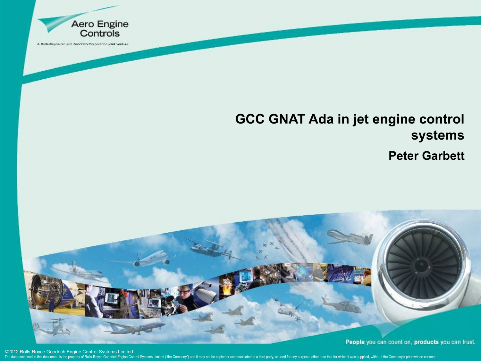

## **GCC GNAT Ada in jet engine control systems Peter Garbett**



©2012 Rolls-Royce Goodrich Engine Control Systems Limited.

The data contained in this document, is the property of Rolls-Royce Goodrich Engine Control Systems Limited ("the Company") and it may not be copied or communicated to a third party, or used for any purpose, other than tha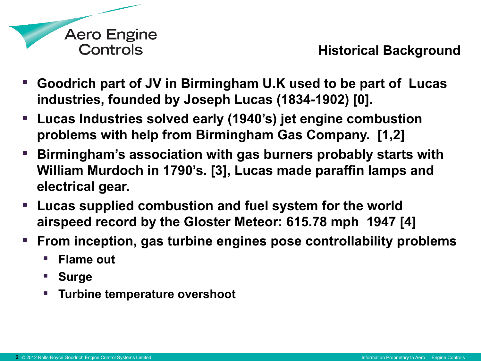

- **Goodrich part of JV in Birmingham U.K used to be part of Lucas industries, founded by Joseph Lucas (1834-1902) [0].**
- **Lucas Industries solved early (1940's) jet engine combustion problems with help from Birmingham Gas Company. [1,2]**
- **Birmingham's association with gas burners probably starts with William Murdoch in 1790's. [3], Lucas made paraffin lamps and electrical gear.**
- **Lucas supplied combustion and fuel system for the world airspeed record by the Gloster Meteor: 615.78 mph 1947 [4]**
- **From inception, gas turbine engines pose controllability problems**
	- **Flame out**
	- **Surge**
	- **Turbine temperature overshoot**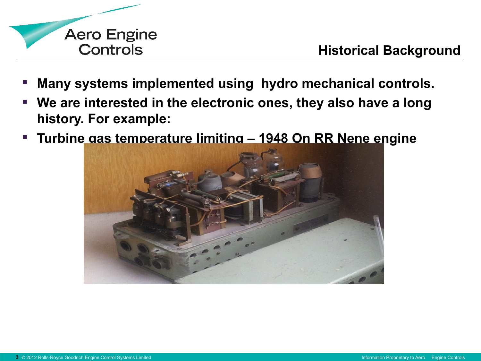

- **Many systems implemented using hydro mechanical controls.**
- **We are interested in the electronic ones, they also have a long history. For example:**
- **Turbine gas temperature limiting 1948 On RR Nene engine**

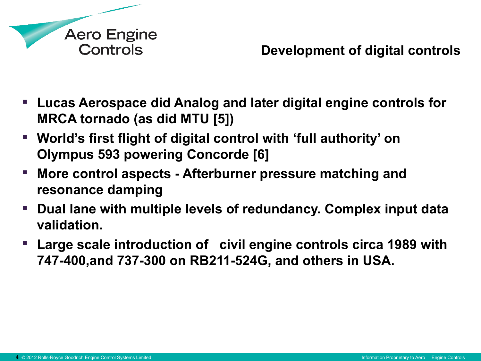

- **Lucas Aerospace did Analog and later digital engine controls for MRCA tornado (as did MTU [5])**
- **World's first flight of digital control with 'full authority' on Olympus 593 powering Concorde [6]**
- **More control aspects Afterburner pressure matching and resonance damping**
- **Dual lane with multiple levels of redundancy. Complex input data validation.**
- **Large scale introduction of civil engine controls circa 1989 with 747-400,and 737-300 on RB211-524G, and others in USA.**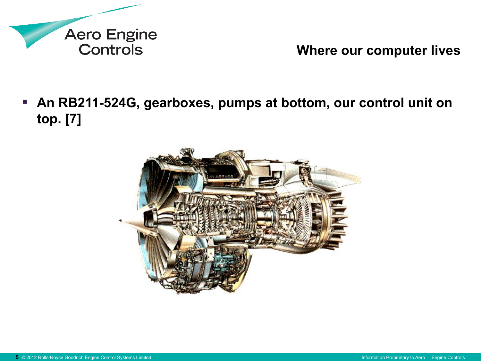

**Where our computer lives**

 **An RB211-524G, gearboxes, pumps at bottom, our control unit on top. [7]**

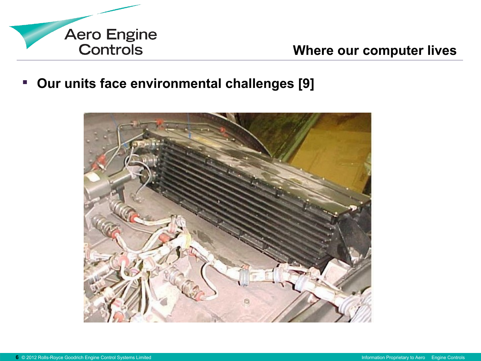

**Our units face environmental challenges [9]**

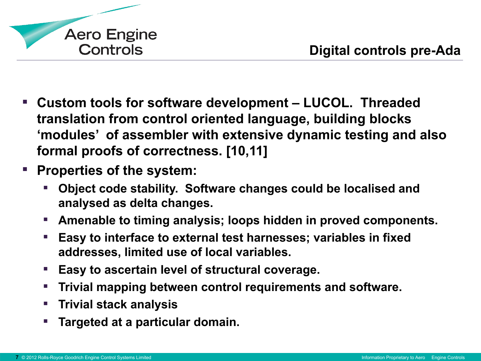

- **Custom tools for software development LUCOL. Threaded translation from control oriented language, building blocks 'modules' of assembler with extensive dynamic testing and also formal proofs of correctness. [10,11]**
- **Properties of the system:**
	- **Object code stability. Software changes could be localised and analysed as delta changes.**
	- **Amenable to timing analysis; loops hidden in proved components.**
	- **Easy to interface to external test harnesses; variables in fixed addresses, limited use of local variables.**
	- **Easy to ascertain level of structural coverage.**
	- **Trivial mapping between control requirements and software.**
	- **Trivial stack analysis**
	- **Targeted at a particular domain.**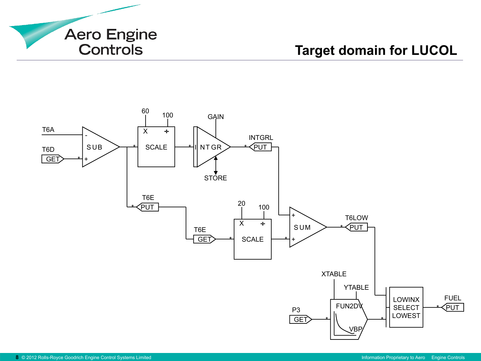

## **Target domain for LUCOL**

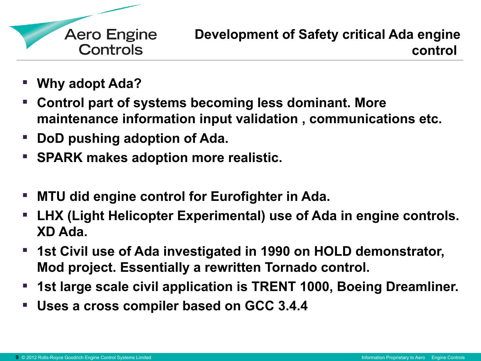

- **Why adopt Ada?**
- **Control part of systems becoming less dominant. More maintenance information input validation , communications etc.**
- **DoD pushing adoption of Ada.**
- **SPARK makes adoption more realistic.**
- **MTU did engine control for Eurofighter in Ada.**
- **LHX (Light Helicopter Experimental) use of Ada in engine controls. XD Ada.**
- **1st Civil use of Ada investigated in 1990 on HOLD demonstrator, Mod project. Essentially a rewritten Tornado control.**
- **1st large scale civil application is TRENT 1000, Boeing Dreamliner.**
- **Uses a cross compiler based on GCC 3.4.4**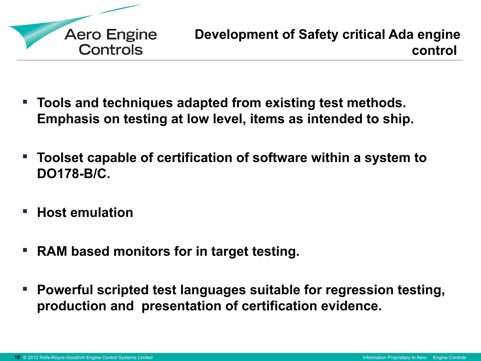

- **Tools and techniques adapted from existing test methods. Emphasis on testing at low level, items as intended to ship.**
- **Toolset capable of certification of software within a system to DO178-B/C.**
- Host emulation
- **RAM based monitors for in target testing.**
- Powerful scripted test languages suitable for regression testing, **production and presentation of certification evidence.**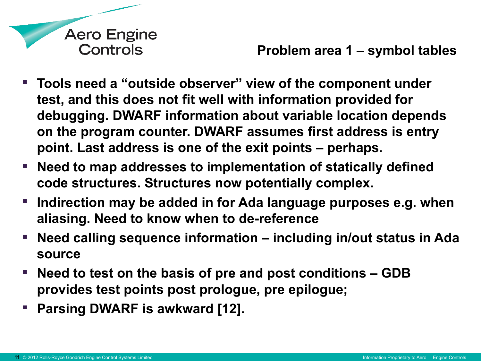

- **Tools need a "outside observer" view of the component under test, and this does not fit well with information provided for debugging. DWARF information about variable location depends on the program counter. DWARF assumes first address is entry point. Last address is one of the exit points – perhaps.**
- **Need to map addresses to implementation of statically defined code structures. Structures now potentially complex.**
- **Indirection may be added in for Ada language purposes e.g. when aliasing. Need to know when to de-reference**
- **Need calling sequence information including in/out status in Ada source**
- **Need to test on the basis of pre and post conditions GDB provides test points post prologue, pre epilogue;**
- **Parsing DWARF is awkward [12].**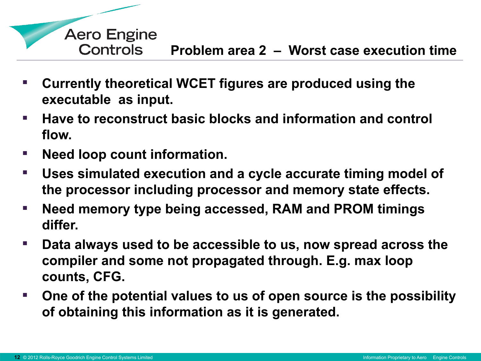

- **Currently theoretical WCET figures are produced using the executable as input.**
- **Have to reconstruct basic blocks and information and control flow.**
- **Need loop count information.**
- **Uses simulated execution and a cycle accurate timing model of the processor including processor and memory state effects.**
- **Need memory type being accessed, RAM and PROM timings differ.**
- **Data always used to be accessible to us, now spread across the compiler and some not propagated through. E.g. max loop counts, CFG.**
- **One of the potential values to us of open source is the possibility of obtaining this information as it is generated.**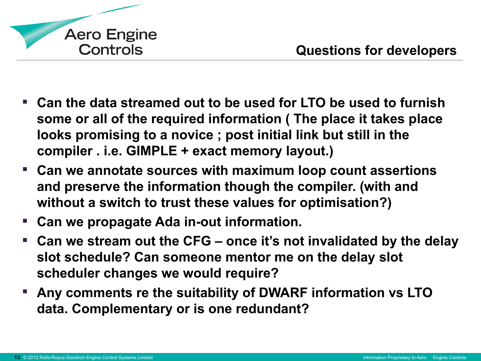

- **Can the data streamed out to be used for LTO be used to furnish some or all of the required information ( The place it takes place looks promising to a novice ; post initial link but still in the compiler . i.e. GIMPLE + exact memory layout.)**
- **Can we annotate sources with maximum loop count assertions and preserve the information though the compiler. (with and without a switch to trust these values for optimisation?)**
- **Can we propagate Ada in-out information.**
- **Can we stream out the CFG once it's not invalidated by the delay slot schedule? Can someone mentor me on the delay slot scheduler changes we would require?**
- **Any comments re the suitability of DWARF information vs LTO data. Complementary or is one redundant?**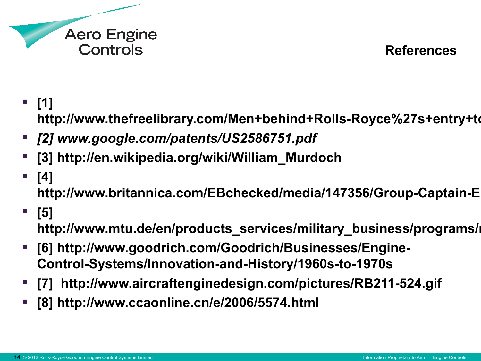

**[1]** 

http://www.thefreelibrary.com/Men+behind+Rolls-Royce%27s+entry+to

- *[2] [www.google.com/patents/US2586751.pdf](http://www.google.com/patents/US2586751.pdf)*
- **[3] [http://en.wikipedia.org/wiki/William\\_Murdoch](http://en.wikipedia.org/wiki/William_Murdoch)**
- **[4]**  http://www.britannica.com/EBchecked/media/147356/Group-Captain-E
- **[5]** http://www.mtu.de/en/products\_services/military\_business/programs/i
- **[6] http://www.goodrich.com/Goodrich/Businesses/Engine-Control-Systems/Innovation-and-History/1960s-to-1970s**
- **[7] http://www.aircraftenginedesign.com/pictures/RB211-524.gif**
- **[8] http://www.ccaonline.cn/e/2006/5574.html**